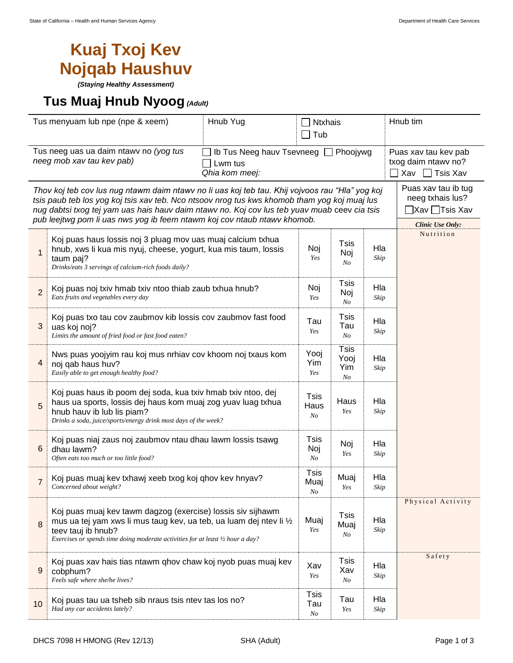## **Kuaj Txoj Kev Nojqab Haushuv**

*(Staying Healthy Assessment)*

## **Tus Muaj Hnub Nyoog***(Adult)*

| Tus menyuam lub npe (npe & xeem)                                                                                                                                                                                                                                                                                                                                            |                                                                                                                                                                                                                                             | Hnub Yug                | <b>Ntxhais</b><br>Tub            |                           |             | Hnub tim                                                                  |  |  |
|-----------------------------------------------------------------------------------------------------------------------------------------------------------------------------------------------------------------------------------------------------------------------------------------------------------------------------------------------------------------------------|---------------------------------------------------------------------------------------------------------------------------------------------------------------------------------------------------------------------------------------------|-------------------------|----------------------------------|---------------------------|-------------|---------------------------------------------------------------------------|--|--|
| Tus neeg uas ua daim ntawy no (yog tus<br>Ib Tus Neeg hauv Tsevneeg □ Phoojywg<br>neeg mob xav tau kev pab)<br>Lwm tus<br>Qhia kom meej:                                                                                                                                                                                                                                    |                                                                                                                                                                                                                                             |                         |                                  |                           |             | Puas xav tau kev pab<br>txog daim ntawy no?<br>$\Box$ Xav $\Box$ Tsis Xav |  |  |
| Thov koj teb cov lus nug ntawm daim ntawv no li uas koj teb tau. Khij vojvoos rau "Hla" yog koj<br>tsis paub teb los yog koj tsis xav teb. Nco ntsoov nrog tus kws khomob tham yog koj muaj lus<br>nug dabtsi txog tej yam uas hais hauv daim ntawv no. Koj cov lus teb yuav muab ceev cia tsis<br>pub leejtwg pom li uas nws yog ib feem ntawm koj cov ntaub ntawv khomob. | Puas xav tau ib tug<br>neeg txhais lus?<br><b>Clinic Use Only:</b>                                                                                                                                                                          |                         |                                  |                           |             |                                                                           |  |  |
| $\mathbf{1}$                                                                                                                                                                                                                                                                                                                                                                | Koj puas haus lossis noj 3 pluag mov uas muaj calcium txhua<br>hnub, xws li kua mis nyuj, cheese, yogurt, kua mis taum, lossis<br>taum paj?<br>Drinks/eats 3 servings of calcium-rich foods daily?                                          | Noj<br>Yes              | Tsis<br>Noj<br>No                | Hla<br>Skip               | Nutrition   |                                                                           |  |  |
| $\overline{2}$                                                                                                                                                                                                                                                                                                                                                              | Koj puas noj txiv hmab txiv ntoo thiab zaub txhua hnub?<br>Eats fruits and vegetables every day                                                                                                                                             | Noj<br>Yes              | Tsis<br>Noj<br>No                | Hla<br>Skip               |             |                                                                           |  |  |
| 3                                                                                                                                                                                                                                                                                                                                                                           | Koj puas txo tau cov zaubmov kib lossis cov zaubmov fast food<br>uas koj noj?<br>Limits the amount of fried food or fast food eaten?                                                                                                        | Tau<br>Yes              | Tsis<br>Tau<br>No                | Hla<br>Skip               |             |                                                                           |  |  |
| 4                                                                                                                                                                                                                                                                                                                                                                           | Nws puas yoojyim rau koj mus nrhiav cov khoom noj txaus kom<br>noj qab haus huv?<br>Easily able to get enough healthy food?                                                                                                                 | Yooj<br>Yim<br>Yes      | <b>Tsis</b><br>Yooj<br>Yim<br>No | Hla<br>Skip               |             |                                                                           |  |  |
| 5                                                                                                                                                                                                                                                                                                                                                                           | Koj puas haus ib poom dej soda, kua txiv hmab txiv ntoo, dej<br>haus ua sports, lossis dej haus kom muaj zog yuav luag txhua<br>hnub hauv ib lub lis piam?<br>Drinks a soda, juice/sports/energy drink most days of the week?               | Tsis<br>Haus<br>$N_{O}$ | Haus<br>Yes                      | Hla<br>Skip               |             |                                                                           |  |  |
| 6                                                                                                                                                                                                                                                                                                                                                                           | Koj puas niaj zaus noj zaubmov ntau dhau lawm lossis tsawg<br>dhau lawm?<br>Often eats too much or too little food?                                                                                                                         | Tsis<br>Noj<br>No       | Noj<br>Yes                       | Hla<br>Skip               |             |                                                                           |  |  |
| $\overline{7}$                                                                                                                                                                                                                                                                                                                                                              | Koj puas muaj kev txhawj xeeb txog koj qhov kev hnyav?<br>Concerned about weight?                                                                                                                                                           | Tsis<br>Muaj<br>No      | Muaj<br>Yes                      | Hla<br>Skip               |             |                                                                           |  |  |
| 8                                                                                                                                                                                                                                                                                                                                                                           | Koj puas muaj kev tawm dagzog (exercise) lossis siv sijhawm<br>mus ua tej yam xws li mus taug kev, ua teb, ua luam dej ntev li 1/2<br>teev tauj ib hnub?<br>Exercises or spends time doing moderate activities for at least 1/2 hour a day? |                         | Muaj<br>Yes                      | <b>Tsis</b><br>Muaj<br>No | Hla<br>Skip | Physical Activity                                                         |  |  |
| 9                                                                                                                                                                                                                                                                                                                                                                           | Koj puas xav hais tias ntawm qhov chaw koj nyob puas muaj kev<br>cobphum?<br>Feels safe where she/he lives?                                                                                                                                 | Xav<br>Yes              | Tsis<br>Xav<br>No                | Hla<br>Skip               | Safety      |                                                                           |  |  |
| 10                                                                                                                                                                                                                                                                                                                                                                          | Koj puas tau ua tsheb sib nraus tsis ntev tas los no?<br>Had any car accidents lately?                                                                                                                                                      | Tsis<br>Tau<br>$N_{O}$  | Tau<br>Yes                       | Hla<br>Skip               |             |                                                                           |  |  |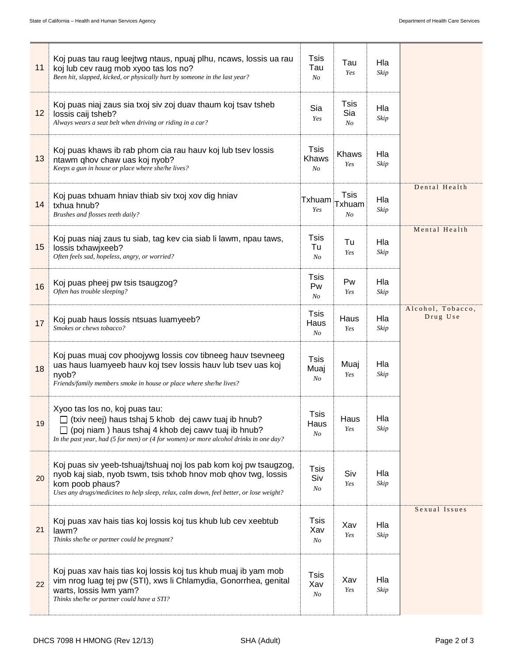| 11 | Koj puas tau raug leejtwg ntaus, npuaj plhu, ncaws, lossis ua rau<br>koj lub cev raug mob xyoo tas los no?<br>Been hit, slapped, kicked, or physically hurt by someone in the last year?                                                        |                        | Tau<br>Yes                              | Hla<br>Skip |                               |
|----|-------------------------------------------------------------------------------------------------------------------------------------------------------------------------------------------------------------------------------------------------|------------------------|-----------------------------------------|-------------|-------------------------------|
| 12 | Koj puas niaj zaus sia txoj siv zoj duav thaum koj tsav tsheb<br>lossis caij tsheb?<br>Always wears a seat belt when driving or riding in a car?                                                                                                |                        | Tsis<br>Sia<br>No                       | Hla<br>Skip |                               |
| 13 | Koj puas khaws ib rab phom cia rau hauv koj lub tsev lossis<br>ntawm qhov chaw uas koj nyob?<br>Keeps a gun in house or place where she/he lives?                                                                                               |                        | Khaws<br>Yes                            | Hla<br>Skip |                               |
| 14 | Koj puas txhuam hniav thiab siv txoj xov dig hniav<br>txhua hnub?<br>Brushes and flosses teeth daily?                                                                                                                                           | Txhuam<br>Yes          | <b>Tsis</b><br>Txhuam<br>N <sub>O</sub> | Hla<br>Skip | Dental Health                 |
| 15 | Koj puas niaj zaus tu siab, tag kev cia siab li lawm, npau taws,<br>lossis txhawjxeeb?<br>Often feels sad, hopeless, angry, or worried?                                                                                                         |                        | Tu<br>Yes                               | Hla<br>Skip | Mental Health                 |
| 16 | Koj puas pheej pw tsis tsaugzog?<br>Often has trouble sleeping?                                                                                                                                                                                 | Tsis<br>Pw<br>No       | Pw<br>Yes                               | Hla<br>Skip |                               |
| 17 | Koj puab haus lossis ntsuas luamyeeb?<br>Smokes or chews tobacco?                                                                                                                                                                               |                        | Haus<br>Yes                             | Hla<br>Skip | Alcohol, Tobacco,<br>Drug Use |
| 18 | Koj puas muaj cov phoojywg lossis cov tibneeg hauv tsevneeg<br>uas haus luamyeeb hauv koj tsev lossis hauv lub tsev uas koj<br>nyob?<br>Friends/family members smoke in house or place where she/he lives?                                      |                        | Muaj<br>Yes                             | Hla<br>Skip |                               |
| 19 | Xyoo tas los no, koj puas tau:<br>□ (txiv neej) haus tshaj 5 khob dej cawv tuaj ib hnub?<br>(poj niam) haus tshaj 4 khob dej cawy tuaj ib hnub?<br>In the past year, had (5 for men) or (4 for women) or more alcohol drinks in one day?        |                        | Haus<br>Yes                             | Hla<br>Skip |                               |
| 20 | Koj puas siv yeeb-tshuaj/tshuaj noj los pab kom koj pw tsaugzog,<br>nyob kaj siab, nyob tswm, tsis txhob hnov mob ghov twg, lossis<br>kom poob phaus?<br>Uses any drugs/medicines to help sleep, relax, calm down, feel better, or lose weight? | Tsis<br>Siv<br>No      | Siv<br>Yes                              | Hla<br>Skip |                               |
| 21 | Koj puas xav hais tias koj lossis koj tus khub lub cev xeebtub<br>lawm?<br>Thinks she/he or partner could be pregnant?                                                                                                                          |                        | Xav<br>Yes                              | Hla<br>Skip | Sexual Issues                 |
| 22 | Koj puas xav hais tias koj lossis koj tus khub muaj ib yam mob<br>vim nrog luag tej pw (STI), xws li Chlamydia, Gonorrhea, genital<br>warts, lossis lwm yam?<br>Thinks she/he or partner could have a STI?                                      | Tsis<br>Xav<br>$N_{O}$ | Xav<br>Yes                              | Hla<br>Skip |                               |